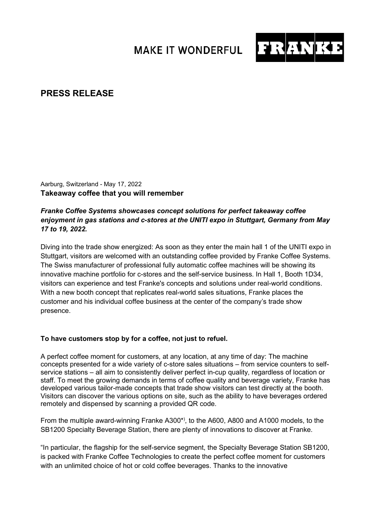## **MAKE IT WONDERFUL**



## **PRESS RELEASE**

Aarburg, Switzerland - May 17, 2022 **Takeaway coffee that you will remember**

## *Franke Coffee Systems showcases concept solutions for perfect takeaway coffee enjoyment in gas stations and c-stores at the UNITI expo in Stuttgart, Germany from May 17 to 19, 2022.*

Diving into the trade show energized: As soon as they enter the main hall 1 of the UNITI expo in Stuttgart, visitors are welcomed with an outstanding coffee provided by Franke Coffee Systems. The Swiss manufacturer of professional fully automatic coffee machines will be showing its innovative machine portfolio for c-stores and the self-service business. In Hall 1, Booth 1D34, visitors can experience and test Franke's concepts and solutions under real-world conditions. With a new booth concept that replicates real-world sales situations, Franke places the customer and his individual coffee business at the center of the company's trade show presence.

## **To have customers stop by for a coffee, not just to refuel.**

A perfect coffee moment for customers, at any location, at any time of day: The machine concepts presented for a wide variety of c-store sales situations – from service counters to selfservice stations – all aim to consistently deliver perfect in-cup quality, regardless of location or staff. To meet the growing demands in terms of coffee quality and beverage variety, Franke has developed various tailor-made concepts that trade show visitors can test directly at the booth. Visitors can discover the various options on site, such as the ability to have beverages ordered remotely and dispensed by scanning a provided QR code.

From the multiple award-winning Franke A300\*) , to the A600, A800 and A1000 models, to the SB1200 Specialty Beverage Station, there are plenty of innovations to discover at Franke.

"In particular, the flagship for the self-service segment, the Specialty Beverage Station SB1200, is packed with Franke Coffee Technologies to create the perfect coffee moment for customers with an unlimited choice of hot or cold coffee beverages. Thanks to the innovative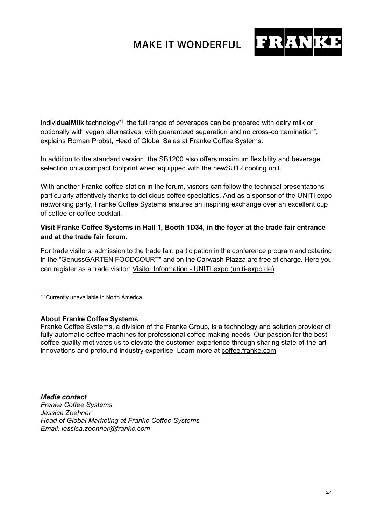# **MAKE IT WONDERFUL**



Indivi**dualMilk** technology\*), the full range of beverages can be prepared with dairy milk or optionally with vegan alternatives, with guaranteed separation and no cross-contamination", explains Roman Probst, Head of Global Sales at Franke Coffee Systems.

In addition to the standard version, the SB1200 also offers maximum flexibility and beverage selection on a compact footprint when equipped with the newSU12 cooling unit.

With another Franke coffee station in the forum, visitors can follow the technical presentations particularly attentively thanks to delicious coffee specialties. And as a sponsor of the UNITI expo networking party, Franke Coffee Systems ensures an inspiring exchange over an excellent cup of coffee or coffee cocktail.

### **Visit Franke Coffee Systems in Hall 1, Booth 1D34, in the foyer at the trade fair entrance and at the trade fair forum.**

For trade visitors, admission to the trade fair, participation in the conference program and catering in the "GenussGARTEN FOODCOURT" and on the Carwash Piazza are free of charge. Here you can register as a trade visitor: Visitor Information - [UNITI expo \(uniti-expo.de\)](https://www.uniti-expo.de/en/trade-visitors/visitor-information)

\*) Currently unavailable in North America

### **About Franke Coffee Systems**

Franke Coffee Systems, a division of the Franke Group, is a technology and solution provider of fully automatic coffee machines for professional coffee making needs. Our passion for the best coffee quality motivates us to elevate the customer experience through sharing state-of-the-art innovations and profound industry expertise. Learn more at [coffee.franke.com](https://www.franke.com/ch/en/cs.html)

*Media contact Franke Coffee Systems Jessica Zoehner Head of Global Marketing at Franke Coffee Systems Email: jessica.zoehner@franke.com*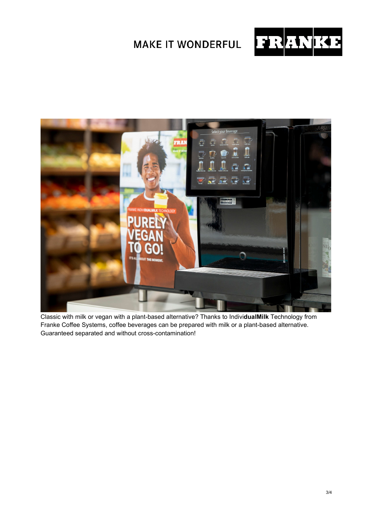



Classic with milk or vegan with a plant-based alternative? Thanks to Indivi**dualMilk** Technology from Franke Coffee Systems, coffee beverages can be prepared with milk or a plant-based alternative. Guaranteed separated and without cross-contamination!